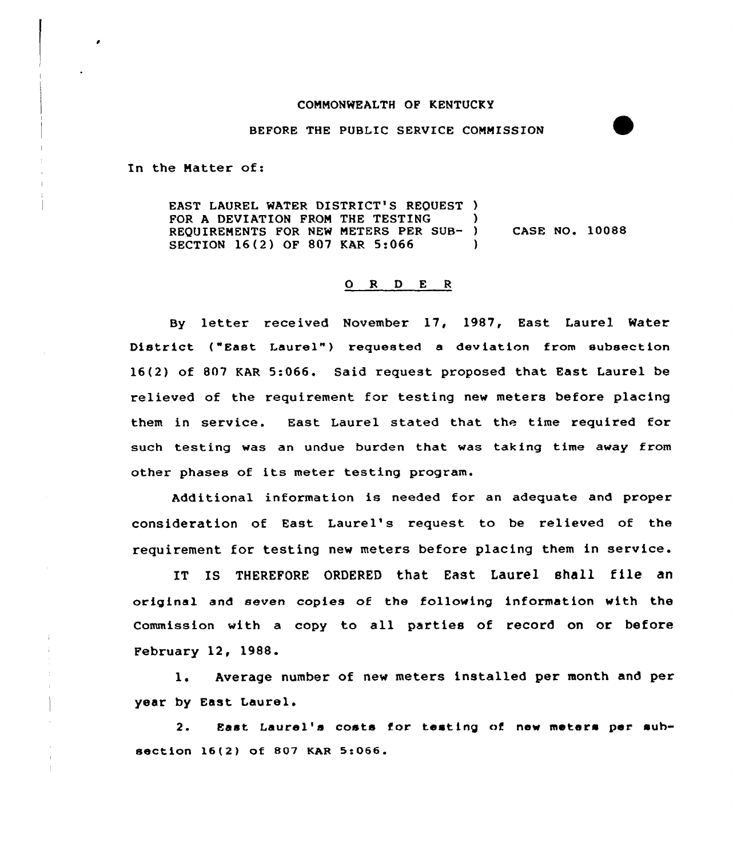## COMMONWEALTH OF KENTUCKY

BEFORE THE PUBLIC SERVICE COMMISSION

In the Natter of:

EAST LAUREL WATER DISTRICT'S REQUEST ) FOR A DEVIATION FROM THE TESTING REQUIRENENTS FOR NEW NETERS PER SUB- ) CASE NO. 10088 SECTION 16(2) OF 807 KAR 5:066 )

## ORDER

By letter received November 17, 1987, East Laurel Water District ("East Laurel"} requested <sup>a</sup> deviation from subsection 16(2) of 807 KAR 5:066. Said request proposed that East Laurel be relieved of the requirement for testing new meters before placing them in service. East Laurel stated that the time required for such testing was an undue burden that was taking time away from other phases of its meter testing program.

Additional information is needed for an adequate and proper consideration of East Laurel's request to be relieved of the requirement for testing new meters before placing them in service.

IT IS THEREFORE ORDERED that East Laurel shall file an original and seven copies of the following information with the Commission with a copy to all parties of record on or before February 12, 1988.

l. Average number of new meters installed per month and per year by East Laurel.

2. East Laurel's costs for testing of new meters per subsection 16(2) of 807 KAR 5:066.